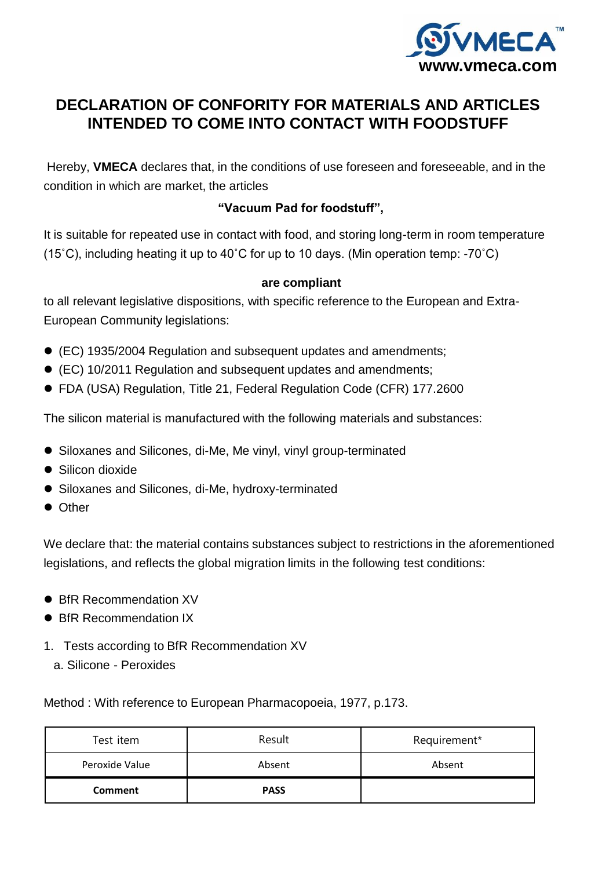

# **DECLARATION OF CONFORITY FOR MATERIALS AND ARTICLES INTENDED TO COME INTO CONTACT WITH FOODSTUFF**

Hereby, **VMECA** declares that, in the conditions of use foreseen and foreseeable, and in the condition in which are market, the articles

## **"Vacuum Pad for foodstuff",**

It is suitable for repeated use in contact with food, and storing long-term in room temperature (15˚C), including heating it up to 40˚C for up to 10 days. (Min operation temp: -70˚C)

### **are compliant**

to all relevant legislative dispositions, with specific reference to the European and Extra-European Community legislations:

- (EC) 1935/2004 Regulation and subsequent updates and amendments;
- (EC) 10/2011 Regulation and subsequent updates and amendments;
- FDA (USA) Regulation, Title 21, Federal Regulation Code (CFR) 177.2600

The silicon material is manufactured with the following materials and substances:

- Siloxanes and Silicones, di-Me, Me vinyl, vinyl group-terminated
- **•** Silicon dioxide
- Siloxanes and Silicones, di-Me, hydroxy-terminated
- **Other**

We declare that: the material contains substances subject to restrictions in the aforementioned legislations, and reflects the global migration limits in the following test conditions:

- BfR Recommendation XV
- BfR Recommendation IX
- 1. Tests according to BfR Recommendation XV
	- a. Silicone Peroxides

Method : With reference to European Pharmacopoeia, 1977, p.173.

| Test item      | Result      | Requirement* |  |
|----------------|-------------|--------------|--|
| Peroxide Value | Absent      | Absent       |  |
| Comment        | <b>PASS</b> |              |  |